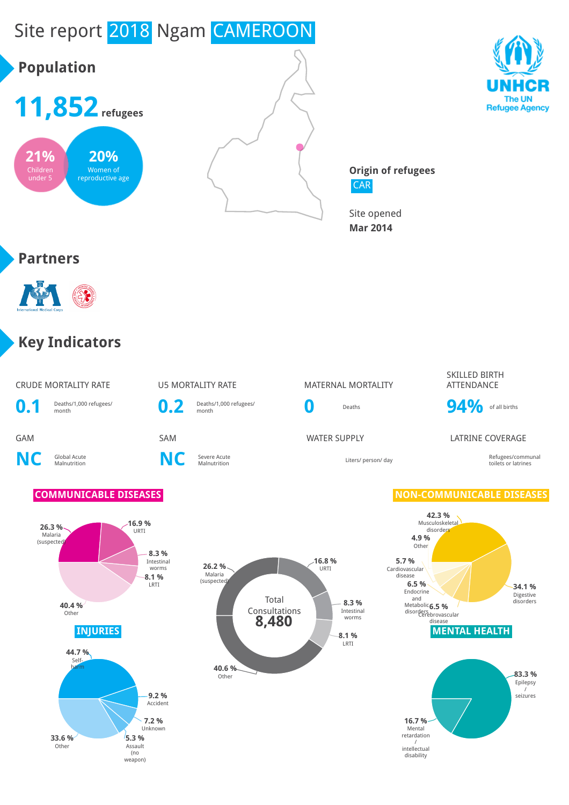

/ intellectual disability

**5.3 %** Assault (no **33.6 %** Other

weapon)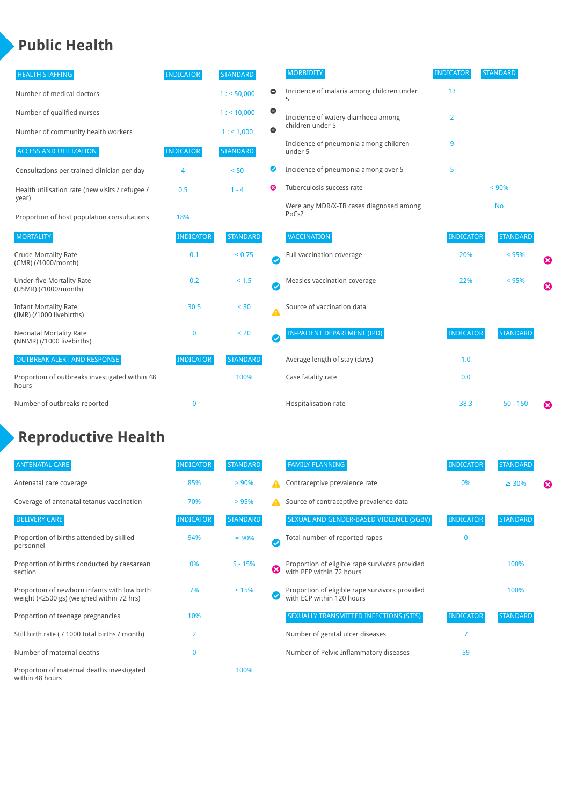## **Public Health**

| <b>HEALTH STAFFING</b>                                      | <b>INDICATOR</b> | <b>STANDARD</b> |           | <b>MORBIDITY</b>                                 | <b>INDICATOR</b> | <b>STANDARD</b> |   |
|-------------------------------------------------------------|------------------|-----------------|-----------|--------------------------------------------------|------------------|-----------------|---|
| Number of medical doctors                                   |                  | 1: 50,000       | $\bullet$ | Incidence of malaria among children under        | 13               |                 |   |
| Number of qualified nurses                                  |                  | $1:$ < 10,000   | $\bullet$ | Incidence of watery diarrhoea among              | $\overline{2}$   |                 |   |
| Number of community health workers                          |                  | 1:1,000         | $\bullet$ | children under 5                                 |                  |                 |   |
| <b>ACCESS AND UTILIZATION</b>                               | <b>INDICATOR</b> | <b>STANDARD</b> |           | Incidence of pneumonia among children<br>under 5 | 9                |                 |   |
| Consultations per trained clinician per day                 | 4                | < 50            | Ø         | Incidence of pneumonia among over 5              | 5                |                 |   |
| Health utilisation rate (new visits / refugee /             | 0.5              | $1 - 4$         | ೞ         | Tuberculosis success rate                        |                  | < 90%           |   |
| year)<br>Proportion of host population consultations        | 18%              |                 |           | Were any MDR/X-TB cases diagnosed among<br>PoCs? |                  | <b>No</b>       |   |
| <b>MORTALITY</b>                                            | <b>INDICATOR</b> | <b>STANDARD</b> |           | <b>VACCINATION</b>                               | <b>INDICATOR</b> | <b>STANDARD</b> |   |
| <b>Crude Mortality Rate</b><br>(CMR) (/1000/month)          | 0.1              | < 0.75          | Ø         | Full vaccination coverage                        | 20%              | < 95%           | ೞ |
| Under-five Mortality Rate<br>(U5MR) (/1000/month)           | 0.2              | $< 1.5$         | Ø         | Measles vaccination coverage                     | 22%              | < 95%           | Ø |
| <b>Infant Mortality Rate</b><br>(IMR) (/1000 livebirths)    | 30.5             | $30$            | Δ         | Source of vaccination data                       |                  |                 |   |
| <b>Neonatal Mortality Rate</b><br>(NNMR) (/1000 livebirths) | 0                | < 20            | $\bullet$ | IN-PATIENT DEPARTMENT (IPD)                      | <b>INDICATOR</b> | <b>STANDARD</b> |   |
| <b>OUTBREAK ALERT AND RESPONSE</b>                          | <b>INDICATOR</b> | <b>STANDARD</b> |           | Average length of stay (days)                    | 1.0              |                 |   |
| Proportion of outbreaks investigated within 48<br>hours     |                  | 100%            |           | Case fatality rate                               | 0.0              |                 |   |
| Number of outbreaks reported                                | 0                |                 |           | Hospitalisation rate                             | 38.3             | $50 - 150$      | ೞ |

# **Reproductive Health**

| <b>ANTENATAL CARE</b>                                                                     | <b>INDICATOR</b> | <b>STANDARD</b> |           | <b>FAMILY PLANNING</b>                                                      | <b>INDICATOR</b> | <b>STANDARD</b> |   |
|-------------------------------------------------------------------------------------------|------------------|-----------------|-----------|-----------------------------------------------------------------------------|------------------|-----------------|---|
| Antenatal care coverage                                                                   | 85%              | $> 90\%$        |           | Contraceptive prevalence rate                                               | 0%               | $\geq 30\%$     | ☎ |
| Coverage of antenatal tetanus vaccination                                                 | 70%              | >95%            | А         | Source of contraceptive prevalence data                                     |                  |                 |   |
| <b>DELIVERY CARE</b>                                                                      | <b>INDICATOR</b> | <b>STANDARD</b> |           | SEXUAL AND GENDER-BASED VIOLENCE (SGBV)                                     | <b>INDICATOR</b> | <b>STANDARD</b> |   |
| Proportion of births attended by skilled<br>personnel                                     | 94%              | $\geq 90\%$     | $\bullet$ | Total number of reported rapes                                              | $\mathbf{0}$     |                 |   |
| Proportion of births conducted by caesarean<br>section                                    | 0%               | $5 - 15%$       | Ø         | Proportion of eligible rape survivors provided<br>with PEP within 72 hours  |                  | 100%            |   |
| Proportion of newborn infants with low birth<br>weight (<2500 gs) (weighed within 72 hrs) | 7%               | < 15%           |           | Proportion of eligible rape survivors provided<br>with ECP within 120 hours |                  | 100%            |   |
| Proportion of teenage pregnancies                                                         | 10%              |                 |           | SEXUALLY TRANSMITTED INFECTIONS (STIS)                                      | <b>INDICATOR</b> | <b>STANDARD</b> |   |
| Still birth rate (/1000 total births / month)                                             | $\overline{2}$   |                 |           | Number of genital ulcer diseases                                            |                  |                 |   |
| Number of maternal deaths                                                                 | $\mathbf{0}$     |                 |           | Number of Pelvic Inflammatory diseases                                      | 59               |                 |   |
| Proportion of maternal deaths investigated<br>within 48 hours                             |                  | 100%            |           |                                                                             |                  |                 |   |